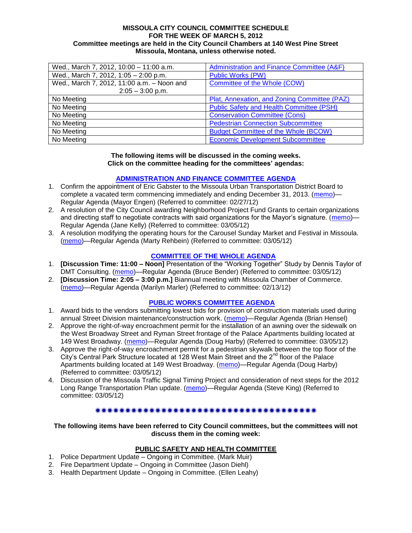### **MISSOULA CITY COUNCIL COMMITTEE SCHEDULE FOR THE WEEK OF MARCH 5, 2012 Committee meetings are held in the City Council Chambers at 140 West Pine Street Missoula, Montana, unless otherwise noted.**

| Wed., March 7, 2012, 10:00 - 11:00 a.m.    | <b>Administration and Finance Committee (A&amp;F)</b> |
|--------------------------------------------|-------------------------------------------------------|
| Wed., March 7, 2012, 1:05 - 2:00 p.m.      | <b>Public Works (PW)</b>                              |
| Wed., March 7, 2012, 11:00 a.m. - Noon and | Committee of the Whole (COW)                          |
| $2:05 - 3:00$ p.m.                         |                                                       |
| No Meeting                                 | Plat, Annexation, and Zoning Committee (PAZ)          |
| No Meeting                                 | <b>Public Safety and Health Committee (PSH)</b>       |
| No Meeting                                 | <b>Conservation Committee (Cons)</b>                  |
| No Meeting                                 | <b>Pedestrian Connection Subcommittee</b>             |
| No Meeting                                 | <b>Budget Committee of the Whole (BCOW)</b>           |
| No Meeting                                 | <b>Economic Development Subcommittee</b>              |

#### **The following items will be discussed in the coming weeks. Click on the committee heading for the committees' agendas:**

### **[ADMINISTRATION AND FINANCE COMMITTEE](http://www.ci.missoula.mt.us/DocumentCenterii.aspx?FID=830) AGENDA**

- 1. Confirm the appointment of Eric Gabster to the Missoula Urban Transportation District Board to complete a vacated term commencing immediately and ending December 31, 2013. [\(memo\)](http://www.ci.missoula.mt.us/DocumentView.aspx?DID=8340)— Regular Agenda (Mayor Engen) (Referred to committee: 02/27/12)
- 2. A resolution of the City Council awarding Neighborhood Project Fund Grants to certain organizations and directing staff to negotiate contracts with said organizations for the Mayor's signature. [\(memo\)](http://www.ci.missoula.mt.us/DocumentView.aspx?DID=8372)— Regular Agenda (Jane Kelly) (Referred to committee: 03/05/12)
- 3. A resolution modifying the operating hours for the Carousel Sunday Market and Festival in Missoula. [\(memo\)](http://www.ci.missoula.mt.us/DocumentView.aspx?DID=8373)—Regular Agenda (Marty Rehbein) (Referred to committee: 03/05/12)

### **[COMMITTEE OF THE WHOLE AGENDA](http://www.ci.missoula.mt.us/DocumentCenterii.aspx?FID=834)**

- 1. **[Discussion Time: 11:00 Noon]** Presentation of the "Working Together" Study by Dennis Taylor of DMT Consulting. [\(memo\)](http://www.ci.missoula.mt.us/DocumentView.aspx?DID=8385)—Regular Agenda (Bruce Bender) (Referred to committee: 03/05/12)
- 2. **[Discussion Time: 2:05 – 3:00 p.m.]** Biannual meeting with Missoula Chamber of Commerce. [\(memo\)](http://www.ci.missoula.mt.us/DocumentView.aspx?DID=8193)—Regular Agenda (Marilyn Marler) (Referred to committee: 02/13/12)

### **[PUBLIC WORKS COMMITTEE AGENDA](http://www.ci.missoula.mt.us/DocumentCenterii.aspx?FID=833)**

- 1. Award bids to the vendors submitting lowest bids for provision of construction materials used during annual Street Division maintenance/construction work. [\(memo\)](http://www.ci.missoula.mt.us/DocumentView.aspx?DID=8376)—Regular Agenda (Brian Hensel)
- 2. Approve the right-of-way encroachment permit for the installation of an awning over the sidewalk on the West Broadway Street and Ryman Street frontage of the Palace Apartments building located at 149 West Broadway. [\(memo\)](http://www.ci.missoula.mt.us/DocumentView.aspx?DID=8377)—Regular Agenda (Doug Harby) (Referred to committee: 03/05/12)
- 3. Approve the right-of-way encroachment permit for a pedestrian skywalk between the top floor of the City's Central Park Structure located at 128 West Main Street and the 2<sup>nd</sup> floor of the Palace Apartments building located at 149 West Broadway. [\(memo\)](http://www.ci.missoula.mt.us/DocumentView.aspx?DID=8378)—Regular Agenda (Doug Harby) (Referred to committee: 03/05/12)
- 4. Discussion of the Missoula Traffic Signal Timing Project and consideration of next steps for the 2012 Long Range Transportation Plan update. [\(memo\)](http://www.ci.missoula.mt.us/DocumentView.aspx?DID=8380)—Regular Agenda (Steve King) (Referred to committee: 03/05/12)

#### 

### **The following items have been referred to City Council committees, but the committees will not discuss them in the coming week:**

### **PUBLIC SAFETY AND HEALTH COMMITTEE**

- 1. Police Department Update Ongoing in Committee. (Mark Muir)
- 2. Fire Department Update Ongoing in Committee (Jason Diehl)
- 3. Health Department Update Ongoing in Committee. (Ellen Leahy)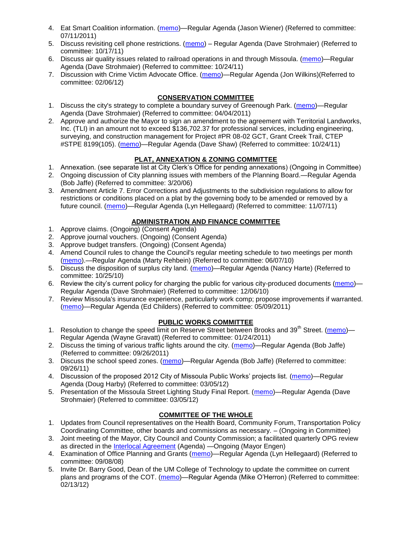- 4. Eat Smart Coalition information. [\(memo\)](http://www.ci.missoula.mt.us/DocumentView.aspx?DID=6776)—Regular Agenda (Jason Wiener) (Referred to committee: 07/11/2011)
- 5. Discuss revisiting cell phone restrictions. [\(memo\)](http://www.ci.missoula.mt.us/DocumentView.aspx?DID=7420) Regular Agenda (Dave Strohmaier) (Referred to committee: 10/17/11)
- 6. Discuss air quality issues related to railroad operations in and through Missoula. [\(memo\)](http://www.ci.missoula.mt.us/DocumentView.aspx?DID=7495)—Regular Agenda (Dave Strohmaier) (Referred to committee: 10/24/11)
- 7. Discussion with Crime Victim Advocate Office. [\(memo\)](http://www.ci.missoula.mt.us/DocumentView.aspx?DID=8109)—Regular Agenda (Jon Wilkins)(Referred to committee: 02/06/12)

# **CONSERVATION COMMITTEE**

- 1. Discuss the city's strategy to complete a boundary survey of Greenough Park. [\(memo\)](http://www.ci.missoula.mt.us/DocumentView.aspx?DID=5875)—Regular Agenda (Dave Strohmaier) (Referred to committee: 04/04/2011)
- 2. Approve and authorize the Mayor to sign an amendment to the agreement with Territorial Landworks, Inc. (TLI) in an amount not to exceed \$136,702.37 for professional services, including engineering, surveying, and construction management for Project #PR 08-02 GCT, Grant Creek Trail, CTEP #STPE 8199(105). [\(memo\)](http://www.ci.missoula.mt.us/DocumentView.aspx?DID=7494)—Regular Agenda (Dave Shaw) (Referred to committee: 10/24/11)

## **PLAT, ANNEXATION & ZONING COMMITTEE**

- 1. Annexation. (see separate list at City Clerk's Office for pending annexations) (Ongoing in Committee)
- 2. Ongoing discussion of City planning issues with members of the Planning Board.—Regular Agenda (Bob Jaffe) (Referred to committee: 3/20/06)
- 3. Amendment Article 7. Error Corrections and Adjustments to the subdivision regulations to allow for restrictions or conditions placed on a plat by the governing body to be amended or removed by a future council. [\(memo\)](http://www.ci.missoula.mt.us/DocumentView.aspx?DID=7568)—Regular Agenda (Lyn Hellegaard) (Referred to committee: 11/07/11)

### **ADMINISTRATION AND FINANCE COMMITTEE**

- 1. Approve claims. (Ongoing) (Consent Agenda)
- 2. Approve journal vouchers. (Ongoing) (Consent Agenda)
- 3. Approve budget transfers. (Ongoing) (Consent Agenda)
- 4. Amend Council rules to change the Council's regular meeting schedule to two meetings per month [\(memo\)](http://www.ci.missoula.mt.us/DocumentView.aspx?DID=4027).—Regular Agenda (Marty Rehbein) (Referred to committee: 06/07/10)
- 5. Discuss the disposition of surplus city land. [\(memo\)](http://www.ci.missoula.mt.us/DocumentView.aspx?DID=4862)—Regular Agenda (Nancy Harte) (Referred to committee: 10/25/10)
- 6. Review the city's current policy for charging the public for various city-produced documents [\(memo\)](http://www.ci.missoula.mt.us/DocumentView.aspx?DID=5143) Regular Agenda (Dave Strohmaier) (Referred to committee: 12/06/10)
- 7. Review Missoula's insurance experience, particularly work comp; propose improvements if warranted. [\(memo\)](http://www.ci.missoula.mt.us/DocumentView.aspx?DID=6381)—Regular Agenda (Ed Childers) (Referred to committee: 05/09/2011)

## **PUBLIC WORKS COMMITTEE**

- 1. Resolution to change the speed limit on Reserve Street between Brooks and 39<sup>th</sup> Street. [\(memo\)](http://www.ci.missoula.mt.us/DocumentView.aspx?DID=5418) Regular Agenda (Wayne Gravatt) (Referred to committee: 01/24/2011)
- 2. Discuss the timing of various traffic lights around the city. [\(memo\)](http://www.ci.missoula.mt.us/DocumentView.aspx?DID=7322)—Regular Agenda (Bob Jaffe) (Referred to committee: 09/26/2011)
- 3. Discuss the school speed zones. [\(memo\)](http://www.ci.missoula.mt.us/DocumentView.aspx?DID=7321)—Regular Agenda (Bob Jaffe) (Referred to committee: 09/26/11)
- 4. Discussion of the proposed 2012 City of Missoula Public Works' projects list. [\(memo\)](http://www.ci.missoula.mt.us/DocumentView.aspx?DID=8379)—Regular Agenda (Doug Harby) (Referred to committee: 03/05/12)
- 5. Presentation of the Missoula Street Lighting Study Final Report. [\(memo\)](http://www.ci.missoula.mt.us/DocumentView.aspx?DID=8375)—Regular Agenda (Dave Strohmaier) (Referred to committee: 03/05/12)

## **COMMITTEE OF THE WHOLE**

- 1. Updates from Council representatives on the Health Board, Community Forum, Transportation Policy Coordinating Committee, other boards and commissions as necessary. – (Ongoing in Committee)
- 3. Joint meeting of the Mayor, City Council and County Commission; a facilitated quarterly OPG review as directed in the [Interlocal Agreement](ftp://ftp.ci.missoula.mt.us/Documents/Mayor/OPG/Adopted-ILA-2005.pdf) (Agenda) —Ongoing (Mayor Engen)
- 4. Examination of Office Planning and Grants [\(memo\)](ftp://ftp.ci.missoula.mt.us/Packets/Council/2008/2008-09-08/Referrals/080825HendricksonOPGreferral.pdf)—Regular Agenda (Lyn Hellegaard) (Referred to committee: 09/08/08)
- 5. Invite Dr. Barry Good, Dean of the UM College of Technology to update the committee on current plans and programs of the COT. [\(memo\)](http://www.ci.missoula.mt.us/DocumentView.aspx?DID=8192)—Regular Agenda (Mike O'Herron) (Referred to committee: 02/13/12)